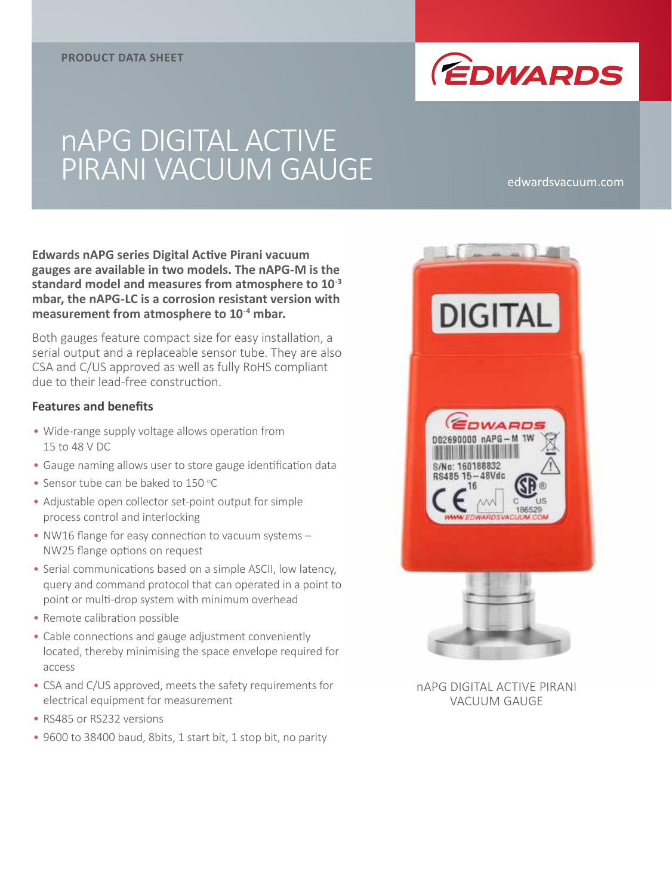

# nAPG DIGITAL ACTIVE PIRANI VACUUM GAUGE edwardsvacuum.com

**Edwards nAPG series Digital Active Pirani vacuum gauges are available in two models. The nAPG-M is the standard model and measures from atmosphere to 10-3 mbar, the nAPG-LC is a corrosion resistant version with measurement from atmosphere to 10-4 mbar.**

Both gauges feature compact size for easy installation, a serial output and a replaceable sensor tube. They are also CSA and C/US approved as well as fully RoHS compliant due to their lead-free construction.

#### **Features and benefits**

- Wide-range supply voltage allows operation from 15 to 48 V DC
- Gauge naming allows user to store gauge identification data
- Sensor tube can be baked to 150 °C
- Adjustable open collector set-point output for simple process control and interlocking
- NW16 flange for easy connection to vacuum systems NW25 flange options on request
- Serial communications based on a simple ASCII, low latency, query and command protocol that can operated in a point to point or multi-drop system with minimum overhead
- Remote calibration possible
- Cable connections and gauge adjustment conveniently located, thereby minimising the space envelope required for access
- CSA and C/US approved, meets the safety requirements for electrical equipment for measurement
- RS485 or RS232 versions
- 9600 to 38400 baud, 8bits, 1 start bit, 1 stop bit, no parity



nAPG DIGITAL ACTIVE PIRANI VACUUM GAUGE